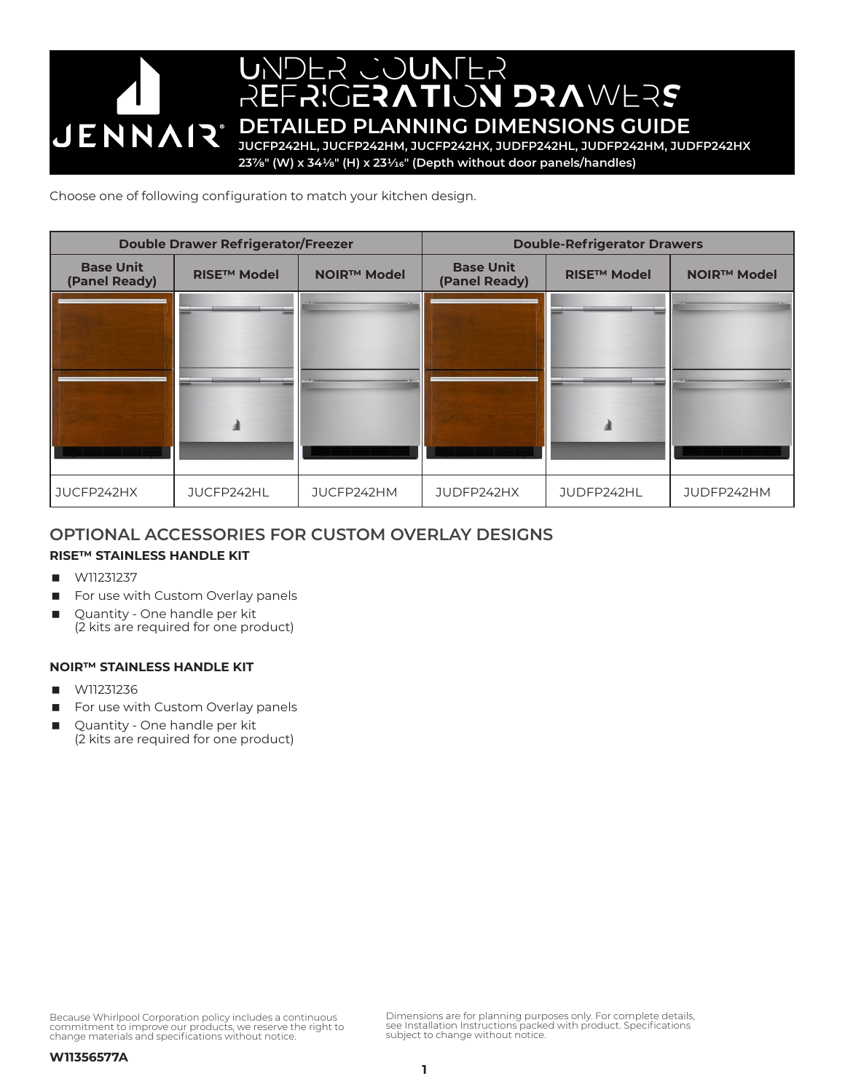# UNDER COUNTER REFRIGERATION DRAWERS **JENNAIR** DETAILED PLANNING DIMENSIONS GUIDE **JUCFP242HL, JUCFP242HM, JUCFP242HX, JUDFP242HL, JUDFP242HM, JUDFP242HX 237/8" (W) x 341/8" (H) x 231/16" (Depth without door panels/handles)**

Choose one of following configuration to match your kitchen design.

| <b>Double Drawer Refrigerator/Freezer</b> |                               |                    | <b>Double-Refrigerator Drawers</b> |                    |                    |
|-------------------------------------------|-------------------------------|--------------------|------------------------------------|--------------------|--------------------|
| <b>Base Unit</b><br>(Panel Ready)         | <b>RISE<sup>™</sup> Model</b> | <b>NOIR™ Model</b> | <b>Base Unit</b><br>(Panel Ready)  | <b>RISE™ Model</b> | <b>NOIR™ Model</b> |
|                                           |                               |                    |                                    |                    |                    |
| JUCFP242HX                                | JUCFP242HL                    | JUCFP242HM         | JUDFP242HX                         | JUDFP242HL         | JUDFP242HM         |

# **OPTIONAL ACCESSORIES FOR CUSTOM OVERLAY DESIGNS**

# **RISE™ STAINLESS HANDLE KIT**

- W11231237
- For use with Custom Overlay panels
- Quantity One handle per kit (2 kits are required for one product)

# **NOIR™ STAINLESS HANDLE KIT**

- W11231236
- For use with Custom Overlay panels
- Quantity One handle per kit (2 kits are required for one product)

Because Whirlpool Corporation policy includes a continuous commitment to improve our products, we reserve the right to change materials and specifications without notice.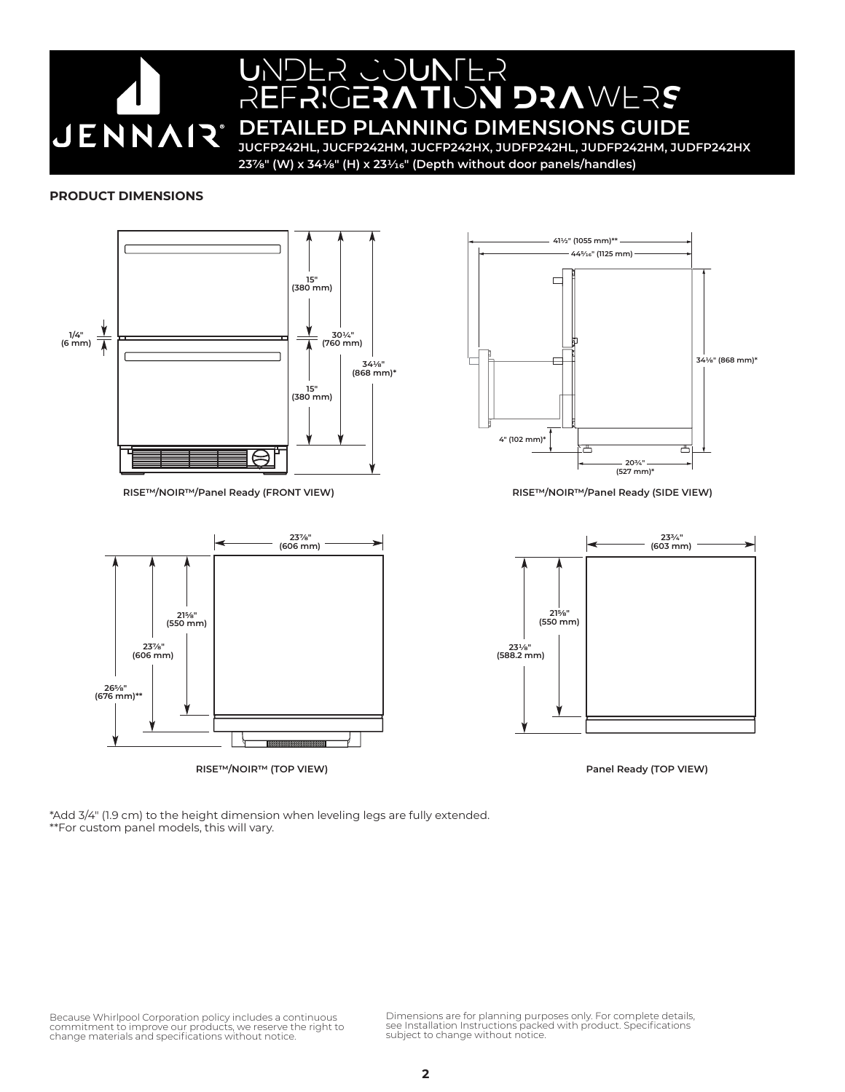

# UNDER COUNTER REFRIGERATION DRAWERS

**DETAILED PLANNING DIMENSIONS GUIDE JUCFP242HL, JUCFP242HM, JUCFP242HX, JUDFP242HL, JUDFP242HM, JUDFP242HX**

**237/8" (W) x 341/8" (H) x 231/16" (Depth without door panels/handles)**

## **PRODUCT DIMENSIONS**



**RISE™/NOIR™ (TOP VIEW) Panel Ready (TOP VIEW)**

\*Add 3/4" (1.9 cm) to the height dimension when leveling legs are fully extended. \*\*For custom panel models, this will vary.

Because Whirlpool Corporation policy includes a continuous<br>commitment to improve our products, we reserve the right to<br>change materials and specifications without notice.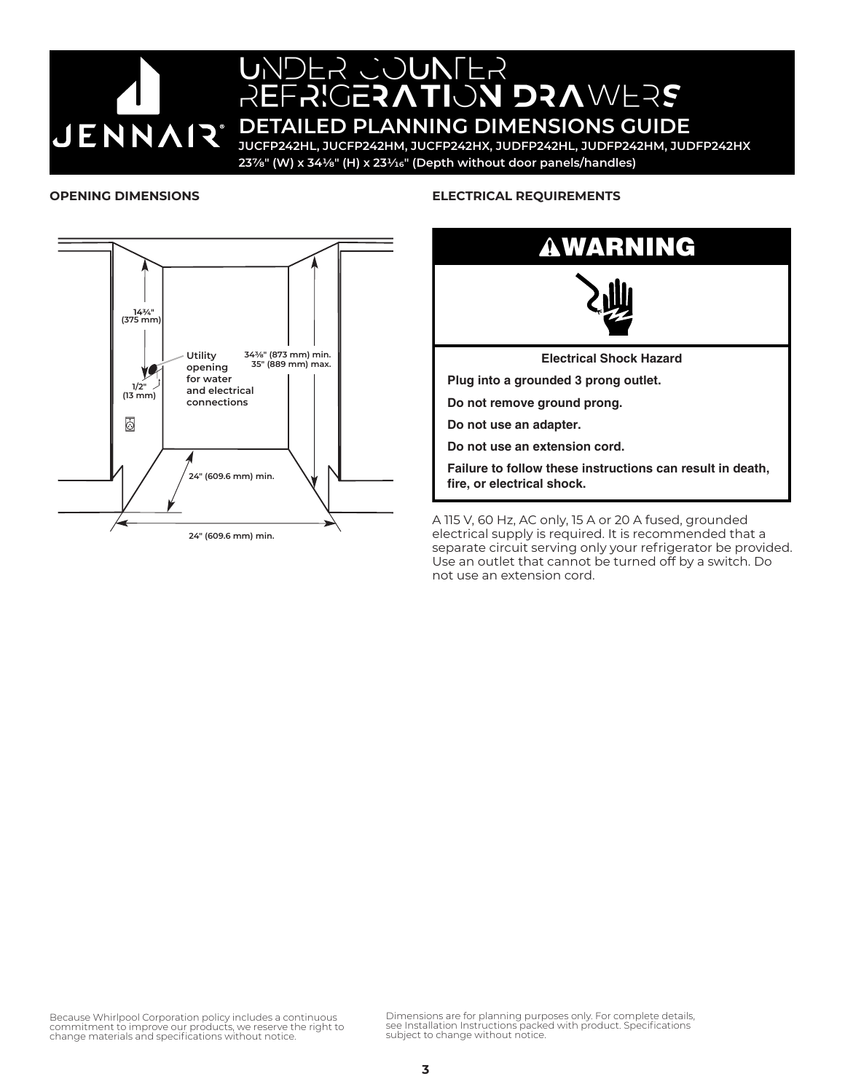

# UNDER COUNTER REFRIGERATION DRAWERS **JENNAIR** DETAILED PLANNING DIMENSIONS GUIDE

**JUCFP242HL, JUCFP242HM, JUCFP242HX, JUDFP242HL, JUDFP242HM, JUDFP242HX 237/8" (W) x 341/8" (H) x 231/16" (Depth without door panels/handles)**

#### **OPENING DIMENSIONS**



## **ELECTRICAL REQUIREMENTS**



**Failure to follow these instructions can result in death, fire, or electrical shock.**

A 115 V, 60 Hz, AC only, 15 A or 20 A fused, grounded electrical supply is required. It is recommended that a separate circuit serving only your refrigerator be provided. Use an outlet that cannot be turned off by a switch. Do not use an extension cord.

Because Whirlpool Corporation policy includes a continuous commitment to improve our products, we reserve the right to change materials and specifications without notice.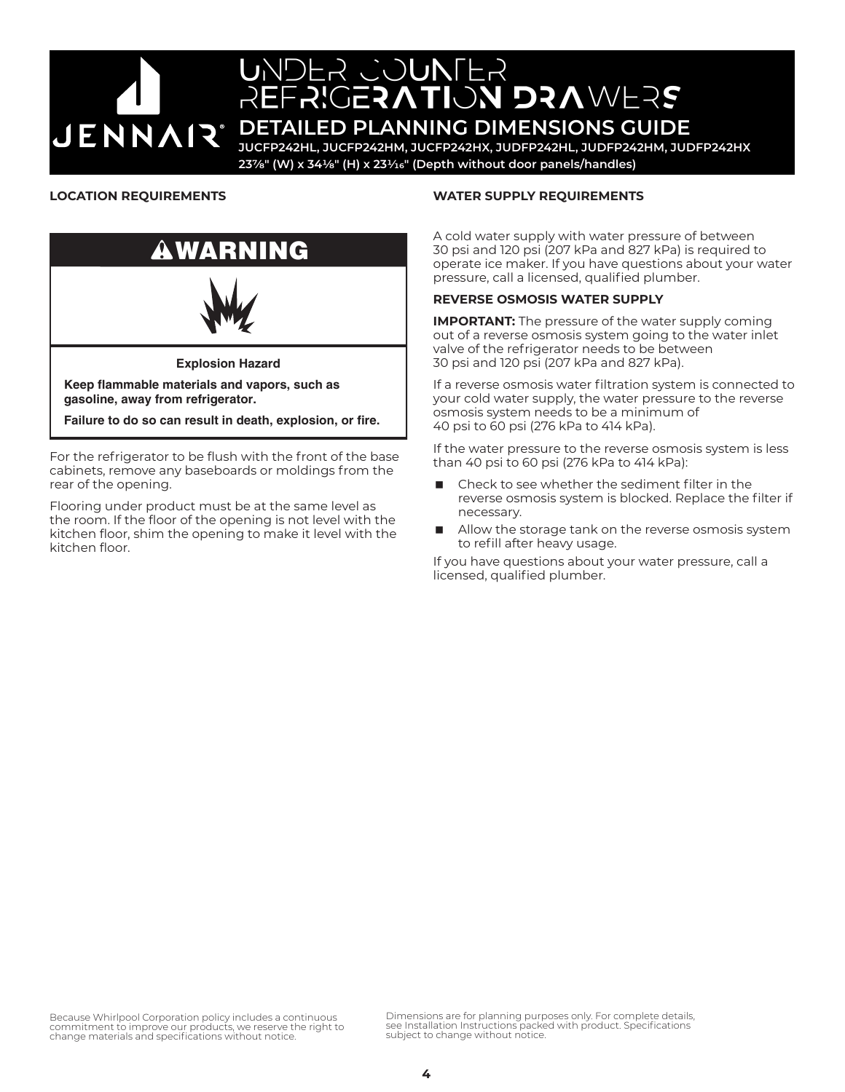

# UNDER COUNTER REFRIGERATION DRAWERS

**JENNAR** TETAILED PLANNING DIMENSIONS GUIDE

**JUCFP242HL, JUCFP242HM, JUCFP242HX, JUDFP242HL, JUDFP242HM, JUDFP242HX 237/8" (W) x 341/8" (H) x 231/16" (Depth without door panels/handles)**

## **LOCATION REQUIREMENTS**



For the refrigerator to be flush with the front of the base cabinets, remove any baseboards or moldings from the rear of the opening.

Flooring under product must be at the same level as the room. If the floor of the opening is not level with the kitchen floor, shim the opening to make it level with the kitchen floor.

#### **WATER SUPPLY REQUIREMENTS**

A cold water supply with water pressure of between 30 psi and 120 psi (207 kPa and 827 kPa) is required to operate ice maker. If you have questions about your water pressure, call a licensed, qualified plumber.

## **REVERSE OSMOSIS WATER SUPPLY**

**IMPORTANT:** The pressure of the water supply coming out of a reverse osmosis system going to the water inlet valve of the refrigerator needs to be between 30 psi and 120 psi (207 kPa and 827 kPa).

If a reverse osmosis water filtration system is connected to your cold water supply, the water pressure to the reverse osmosis system needs to be a minimum of 40 psi to 60 psi (276 kPa to 414 kPa).

If the water pressure to the reverse osmosis system is less than 40 psi to 60 psi (276 kPa to 414 kPa):

- Check to see whether the sediment filter in the reverse osmosis system is blocked. Replace the filter if necessary.
- Allow the storage tank on the reverse osmosis system to refill after heavy usage.

If you have questions about your water pressure, call a licensed, qualified plumber.

Because Whirlpool Corporation policy includes a continuous commitment to improve our products, we reserve the right to change materials and specifications without notice.